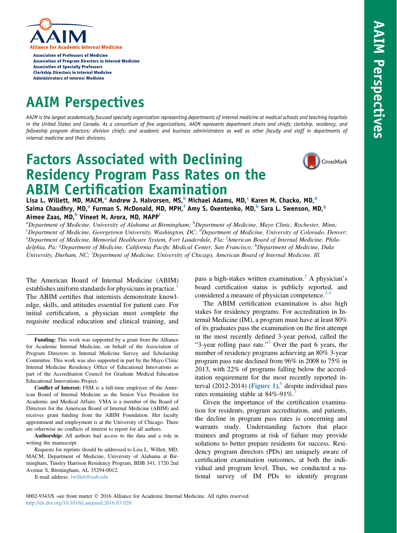

**Association of Professors of Medicine Association of Program Directors in Internal Medicine Association of Specialty Professors Clerkship Directors in Internal Medicine Administrators of Internal Medicine** 

# AAIM Perspectives

AAIM is the largest academically focused specialty organization representing departments of internal medicine at medical schools and teaching hospitals in the United States and Canada. As a consortium of five organizations, AAIM represents department chairs and chiefs; clerkship, residency, and fellowship program directors; division chiefs; and academic and business administrators as well as other faculty and staff in departments of internal medicine and their divisions.

# Factors Associated with Declining Residency Program Pass Rates on the ABIM Certification Examination



Lisa L. Willett, MD, MACM,<sup>a</sup> Andrew J. Halvorsen, MS,<sup>b</sup> Michael Adams, MD,<sup>c</sup> Karen M. Chacko, MD,<sup>d</sup> Saima Chaudhry, MD, <sup>e</sup> Furman S. McDonald, MD, MPH,<sup>f</sup> Amy S. Oxentenko, MD,<sup>b</sup> Sara L. Swenson, MD,<sup>g</sup> Aimee Zaas, MD,<sup>h</sup> Vineet M. Arora, MD, MAPP<sup>i</sup>

<sup>a</sup>Department of Medicine, University of Alabama at Birmingham; <sup>b</sup>Department of Medicine, Mayo Clinic, Rochester, Minn;<br><sup>c</sup>Department of Medicine, Georgatown University, Washington, DC: <sup>d</sup>Department of Medicine, Universi <sup>c</sup>Department of Medicine, Georgetown University, Washington, DC; <sup>d</sup>Department of Medicine, University of Colorado, Denver;<br><sup>e</sup>Department of Medicine, Memorial Healthcare System, Fort Lauderdale, Flau <sup>f</sup>American Board of Department of Medicine, Memorial Healthcare System, Fort Lauderdale, Fla; <sup>f</sup>American Board of Internal Medicine, Philadelphia, Pa; <sup>8</sup>Department of Medicine, California Pacific Medical Center, San Francisco; <sup>h</sup>Department of Medicine, Duke University, Durham, NC; <sup>i</sup>Department of Medicine, University of Chicago, American Board of Internal Medicine, Ill.

The American Board of Internal Medicine (ABIM) establishes uniform standards for physicians in practice.<sup>[1](#page-6-0)</sup> The ABIM certifies that internists demonstrate knowledge, skills, and attitudes essential for patient care. For initial certification, a physician must complete the requisite medical education and clinical training, and

Conflict of Interest: FSM is a full-time employee of the American Board of Internal Medicine as the Senior Vice President for Academic and Medical Affairs. VMA is a member of the Board of Directors for the American Board of Internal Medicine (ABIM) and receives grant funding from the ABIM Foundation. Her faculty appointment and employment is at the University of Chicago. There are otherwise no conflicts of interest to report for all authors.

Authorship: All authors had access to the data and a role in writing the manuscript.

Requests for reprints should be addressed to Lisa L. Willett, MD, MACM, Department of Medicine, University of Alabama at Birmingham, Tinsley Harrison Residency Program, BDB 341, 1720 2nd Avenue S, Birmingham, AL 35294-0012.

E-mail address: [lwillett@uab.edu](mailto:lwillett@uab.edu)

pass a high-stakes written examination.<sup>[2](#page-6-0)</sup> A physician's board certification status is publicly reported, and considered a measure of physician competence. $3,4$ 

The ABIM certification examination is also high stakes for residency programs. For accreditation in Internal Medicine (IM), a program must have at least 80% of its graduates pass the examination on the first attempt in the most recently defined 3-year period, called the "3-year rolling pass rate."<sup>[5](#page-6-0)</sup> Over the past 6 years, the number of residency programs achieving an 80% 3-year program pass rate declined from 96% in 2008 to 75% in 2013, with 22% of programs falling below the accreditation requirement for the most recently reported in-terval (2012-2014) ([Figure 1](#page-2-0)),<sup>[6](#page-6-0)</sup> despite individual pass rates remaining stable at 84%-91%.

Given the importance of the certification examination for residents, program accreditation, and patients, the decline in program pass rates is concerning and warrants study. Understanding factors that place trainees and programs at risk of failure may provide solutions to better prepare residents for success. Residency program directors (PDs) are uniquely aware of certification examination outcomes, at both the individual and program level. Thus, we conducted a national survey of IM PDs to identify program

Funding: This work was supported by a grant from the Alliance for Academic Internal Medicine, on behalf of the Association of Program Directors in Internal Medicine Survey and Scholarship Committee. This work was also supported in part by the Mayo Clinic Internal Medicine Residency Office of Educational Innovations as part of the Accreditation Council for Graduate Medical Education Educational Innovations Project.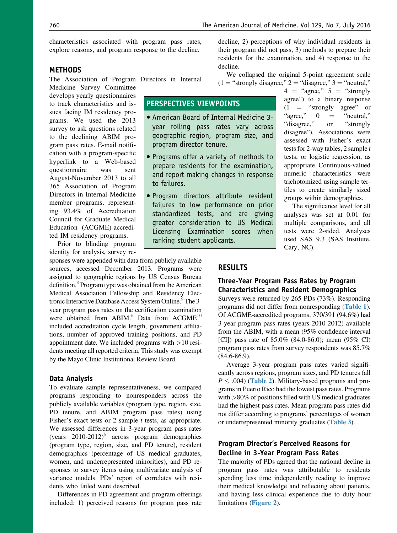characteristics associated with program pass rates, explore reasons, and program response to the decline.

### **METHODS**

The Association of Program Directors in Internal

Medicine Survey Committee develops yearly questionnaires to track characteristics and issues facing IM residency programs. We used the 2013 survey to ask questions related to the declining ABIM program pass rates. E-mail notification with a program-specific hyperlink to a Web-based questionnaire was sent August-November 2013 to all 365 Association of Program Directors in Internal Medicine member programs, representing 93.4% of Accreditation Council for Graduate Medical Education (ACGME)-accredited IM residency programs.

Prior to blinding program identity for analysis, survey re-

sponses were appended with data from publicly available sources, accessed December 2013. Programs were assigned to geographic regions by US Census Bureau definition.<sup>8</sup> Program type was obtained from the American Medical Association Fellowship and Residency Electronic Interactive Database Access System Online.<sup>9</sup>The 3year program pass rates on the certification examination were obtained from ABIM. $^{6}$  Data from ACGME $^{10}$  $^{10}$  $^{10}$ included accreditation cycle length, government affiliations, number of approved training positions, and PD appointment date. We included programs with  $>10$  residents meeting all reported criteria. This study was exempt by the Mayo Clinic Institutional Review Board.

### Data Analysis

To evaluate sample representativeness, we compared programs responding to nonresponders across the publicly available variables (program type, region, size, PD tenure, and ABIM program pass rates) using Fisher's exact tests or 2 sample  $t$  tests, as appropriate. We assessed differences in 3-year program pass rates (years  $2010-2012$ )<sup>[6](#page-6-0)</sup> across program demographics (program type, region, size, and PD tenure), resident demographics (percentage of US medical graduates, women, and underrepresented minorities), and PD responses to survey items using multivariate analysis of variance models. PDs' report of correlates with residents who failed were described.

Differences in PD agreement and program offerings included: 1) perceived reasons for program pass rate

decline, 2) perceptions of why individual residents in their program did not pass, 3) methods to prepare their residents for the examination, and 4) response to the decline.

We collapsed the original 5-point agreement scale  $(1 = "strongly disagree," 2 = "disagree," 3 = "neutral,"$ 

"disagree,"

 $4 =$  "agree,"  $5 =$  "strongly agree") to a binary response  $(1 =$  "strongly agree" or<br>"agree,"  $0 =$  "neutral," "agree,"  $0 =$  "neutral,"<br>"disagree," or "strongly"

disagree"). Associations were assessed with Fisher's exact tests for 2-way tables, 2 sample  $t$ tests, or logistic regression, as appropriate. Continuous-valued numeric characteristics were trichotomized using sample tertiles to create similarly sized groups within demographics. The significance level for all analyses was set at 0.01 for multiple comparisons, and all tests were 2-sided. Analyses used SAS 9.3 (SAS Institute,

# PERSPECTIVES VIEWPOINTS

- American Board of Internal Medicine 3 year rolling pass rates vary across geographic region, program size, and program director tenure.
- Programs offer a variety of methods to prepare residents for the examination, and report making changes in response to failures.
- Program directors attribute resident failures to low performance on prior standardized tests, and are giving greater consideration to US Medical Licensing Examination scores when ranking student applicants.

# **RESULTS**

## Three-Year Program Pass Rates by Program Characteristics and Resident Demographics

Cary, NC).

Surveys were returned by 265 PDs (73%). Responding programs did not differ from nonresponding ([Table 1](#page-3-0)). Of ACGME-accredited programs, 370/391 (94.6%) had 3-year program pass rates (years 2010-2012) available from the ABIM, with a mean (95% confidence interval [CI]) pass rate of 85.0% (84.0-86.0); mean (95% CI) program pass rates from survey respondents was 85.7% (84.6-86.9).

Average 3-year program pass rates varied significantly across regions, program sizes, and PD tenures (all  $P \leq .004$ ) (**[Table 2](#page-3-0)**). Military-based programs and programs in Puerto Rico had the lowest pass rates. Programs with >80% of positions filled with US medical graduates had the highest pass rates. Mean program pass rates did not differ according to programs' percentages of women or underrepresented minority graduates ([Table 3](#page-4-0)).

# Program Director's Perceived Reasons for Decline in 3-Year Program Pass Rates

The majority of PDs agreed that the national decline in program pass rates was attributable to residents spending less time independently reading to improve their medical knowledge and reflecting about patients, and having less clinical experience due to duty hour limitations ([Figure 2](#page-4-0)).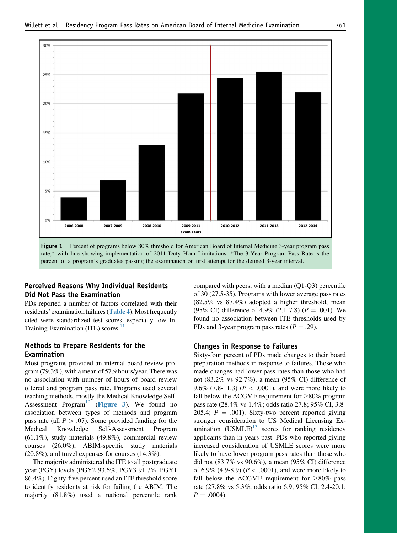<span id="page-2-0"></span>

Figure 1 Percent of programs below 80% threshold for American Board of Internal Medicine 3-year program pass rate,\* with line showing implementation of 2011 Duty Hour Limitations. \*The 3-Year Program Pass Rate is the percent of a program's graduates passing the examination on first attempt for the defined 3-year interval.

# Perceived Reasons Why Individual Residents Did Not Pass the Examination

PDs reported a number of factors correlated with their residents' examination failures ([Table 4](#page-5-0)). Most frequently cited were standardized test scores, especially low In-Training Examination (ITE) scores. $11$ 

## Methods to Prepare Residents for the Examination

Most programs provided an internal board review program (79.3%), with a mean of 57.9 hours/year. There was no association with number of hours of board review offered and program pass rate. Programs used several teaching methods, mostly the Medical Knowledge Self-Assessment Program<sup>[12](#page-6-0)</sup> ([Figure 3](#page-5-0)). We found no association between types of methods and program pass rate (all  $P > .07$ ). Some provided funding for the Medical Knowledge Self-Assessment Program (61.1%), study materials (49.8%), commercial review courses (26.0%), ABIM-specific study materials (20.8%), and travel expenses for courses (14.3%).

The majority administered the ITE to all postgraduate year (PGY) levels (PGY2 93.6%, PGY3 91.7%, PGY1 86.4%). Eighty-five percent used an ITE threshold score to identify residents at risk for failing the ABIM. The majority (81.8%) used a national percentile rank compared with peers, with a median (Q1-Q3) percentile of 30 (27.5-35). Programs with lower average pass rates (82.5% vs 87.4%) adopted a higher threshold, mean (95% CI) difference of 4.9% (2.1-7.8) ( $P = .001$ ). We found no association between ITE thresholds used by PDs and 3-year program pass rates  $(P = .29)$ .

#### Changes in Response to Failures

Sixty-four percent of PDs made changes to their board preparation methods in response to failures. Those who made changes had lower pass rates than those who had not (83.2% vs 92.7%), a mean (95% CI) difference of 9.6% (7.8-11.3) ( $P < .0001$ ), and were more likely to fall below the ACGME requirement for  $\geq 80\%$  program pass rate (28.4% vs 1.4%; odds ratio 27.8; 95% CI, 3.8- 205.4;  $P = .001$ ). Sixty-two percent reported giving stronger consideration to US Medical Licensing Examination  $(USMLE)^{13}$  $(USMLE)^{13}$  $(USMLE)^{13}$  scores for ranking residency applicants than in years past. PDs who reported giving increased consideration of USMLE scores were more likely to have lower program pass rates than those who did not (83.7% vs 90.6%), a mean (95% CI) difference of 6.9% (4.9-8.9) ( $P < .0001$ ), and were more likely to fall below the ACGME requirement for  $\geq 80\%$  pass rate (27.8% vs 5.3%; odds ratio 6.9; 95% CI, 2.4-20.1;  $P = .0004$ ).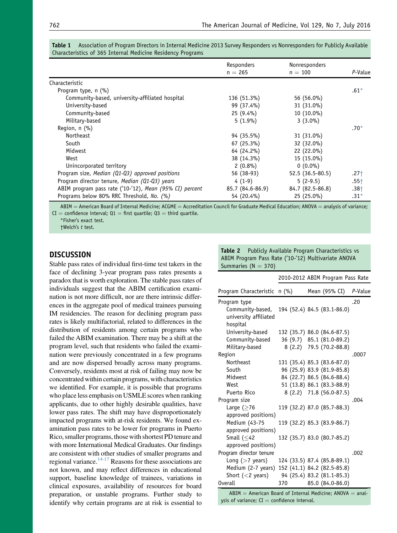|                                                         | Responders<br>$n = 265$ | Nonresponders<br>$n = 100$                                                                                                                    | P-Value |
|---------------------------------------------------------|-------------------------|-----------------------------------------------------------------------------------------------------------------------------------------------|---------|
|                                                         |                         |                                                                                                                                               |         |
| Characteristic                                          |                         |                                                                                                                                               |         |
| Program type, $n$ (%)                                   |                         |                                                                                                                                               | $.61*$  |
| Community-based, university-affiliated hospital         | 136 (51.3%)             | 56 (56.0%)                                                                                                                                    |         |
| University-based                                        | 99 (37.4%)              | 31 (31.0%)                                                                                                                                    |         |
| Community-based                                         | $25(9.4\%)$             | 10 (10.0%)                                                                                                                                    |         |
| Military-based                                          | $5(1.9\%)$              | $3(3.0\%)$                                                                                                                                    |         |
| Region, $n$ (%)                                         |                         |                                                                                                                                               | $.70*$  |
| Northeast                                               | 94 (35.5%)              | 31 (31.0%)                                                                                                                                    |         |
| South                                                   | $67(25.3\%)$            | 32 (32.0%)                                                                                                                                    |         |
| Midwest                                                 | 64 (24.2%)              | 22 (22.0%)                                                                                                                                    |         |
| West                                                    | 38 (14.3%)              | 15 (15.0%)                                                                                                                                    |         |
| Unincorporated territory                                | $2(0.8\%)$              | $0(0.0\%)$                                                                                                                                    |         |
| Program size, Median (Q1-Q3) approved positions         | 56 (38-93)              | $52.5(36.5-80.5)$                                                                                                                             | $.27+$  |
| Program director tenure, Median (Q1-Q3) years           | $4(1-9)$                | $5(2-9.5)$                                                                                                                                    | $.55+$  |
| ABIM program pass rate ('10-'12), Mean (95% CI) percent | 85.7 (84.6-86.9)        | 84.7 (82.5-86.8)                                                                                                                              | $.38+$  |
| Programs below 80% RRC Threshold, No. (%)               | 54 (20.4%)              | 25 (25.0%)                                                                                                                                    | $.31*$  |
| $\mathbf{r}$                                            |                         | $\mathbf{H} \in \mathbb{R}$ and $\mathbf{H} \in \mathbb{R}$ are a set of $\mathbf{H} \in \mathbb{R}$ . The set of $\mathbf{H} \in \mathbb{R}$ |         |

<span id="page-3-0"></span>

| Table 1 Association of Program Directors in Internal Medicine 2013 Survey Responders vs Nonresponders for Publicly Available |  |  |  |
|------------------------------------------------------------------------------------------------------------------------------|--|--|--|
| Characteristics of 365 Internal Medicine Residency Programs                                                                  |  |  |  |

 $A$ BIM  $=$  American Board of Internal Medicine; ACGME  $=$  Accreditation Council for Graduate Medical Education; ANOVA  $=$  analysis of variance;  $CI =$  confidence interval;  $Q1 =$  first quartile;  $Q3 =$  third quartile.

\*Fisher's exact test. †Welch's t test.

# **DISCUSSION**

Stable pass rates of individual first-time test takers in the face of declining 3-year program pass rates presents a paradox that is worth exploration. The stable pass rates of individuals suggest that the ABIM certification examination is not more difficult, nor are there intrinsic differences in the aggregate pool of medical trainees pursuing IM residencies. The reason for declining program pass rates is likely multifactorial, related to differences in the distribution of residents among certain programs who failed the ABIM examination. There may be a shift at the program level, such that residents who failed the examination were previously concentrated in a few programs and are now dispersed broadly across many programs. Conversely, residents most at risk of failing may now be concentrated within certain programs, with characteristics we identified. For example, it is possible that programs who place less emphasis on USMLE scores when ranking applicants, due to other highly desirable qualities, have lower pass rates. The shift may have disproportionately impacted programs with at-risk residents. We found examination pass rates to be lower for programs in Puerto Rico, smaller programs, those with shortest PD tenure and with more International Medical Graduates. Our findings are consistent with other studies of smaller programs and regional variance.<sup>14-17</sup> Reasons for these associations are not known, and may reflect differences in educational support, baseline knowledge of trainees, variations in clinical exposures, availability of resources for board preparation, or unstable programs. Further study to identify why certain programs are at risk is essential to Table 2 Publicly Available Program Characteristics vs ABIM Program Pass Rate ('10-'12) Multivariate ANOVA Summaries ( $N = 370$ )

|                              |     |  | 2010-2012 ABIM Program Pass Rate |         |
|------------------------------|-----|--|----------------------------------|---------|
| Program Characteristic n (%) |     |  | Mean (95% CI)                    | P-Value |
| Program type                 |     |  |                                  | .20     |
| Community-based,             |     |  | 194 (52.4) 84.5 (83.1-86.0)      |         |
| university affiliated        |     |  |                                  |         |
| hospital                     |     |  |                                  |         |
| University-based             |     |  | 132 (35.7) 86.0 (84.6-87.5)      |         |
| Community-based              |     |  | 36 (9.7) 85.1 (81.0-89.2)        |         |
| Military-based               |     |  | 8 (2.2) 79.5 (70.2-88.8)         |         |
| Region                       |     |  |                                  | .0007   |
| <b>Northeast</b>             |     |  | 131 (35.4) 85.3 (83.6-87.0)      |         |
| South                        |     |  | 96 (25.9) 83.9 (81.9-85.8)       |         |
| Midwest                      |     |  | 84 (22.7) 86.5 (84.6-88.4)       |         |
| West                         |     |  | 51 (13.8) 86.1 (83.3-88.9)       |         |
| Puerto Rico                  |     |  | 8 (2.2) 71.8 (56.0-87.5)         |         |
| Program size                 |     |  |                                  | .004    |
| Large $($ >76                |     |  | 119 (32.2) 87.0 (85.7-88.3)      |         |
| approved positions)          |     |  |                                  |         |
| Medium (43-75                |     |  | 119 (32.2) 85.3 (83.9-86.7)      |         |
| approved positions)          |     |  |                                  |         |
| Small $( \leq 42)$           |     |  | 132 (35.7) 83.0 (80.7-85.2)      |         |
| approved positions)          |     |  |                                  |         |
| Program director tenure      |     |  |                                  | .002    |
| Long $($ >7 years)           |     |  | 124 (33.5) 87.4 (85.8-89.1)      |         |
| Medium (2-7 years)           |     |  | 152 (41.1) 84.2 (82.5-85.8)      |         |
| Short $(<$ 2 years)          |     |  | 94 (25.4) 83.2 (81.1-85.3)       |         |
| <b>Overall</b>               | 370 |  | 85.0 (84.0-86.0)                 |         |

 $ABIM =$  American Board of Internal Medicine; ANOVA  $=$  analysis of variance;  $CI =$  confidence interval.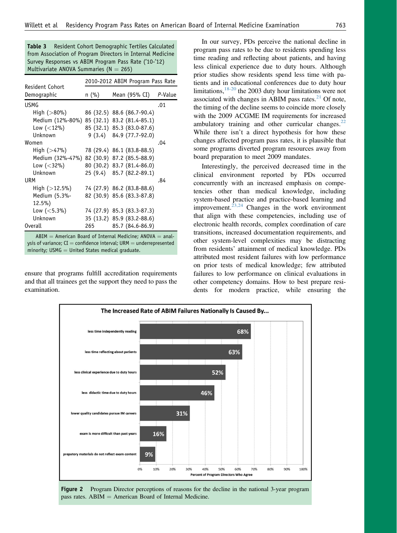<span id="page-4-0"></span>Table 3 Resident Cohort Demographic Tertiles Calculated from Association of Program Directors in Internal Medicine Survey Responses vs ABIM Program Pass Rate ('10-'12) Multivariate ANOVA Summaries ( $N = 265$ )

|                                             | 2010-2012 ABIM Program Pass Rate |                            |         |  |
|---------------------------------------------|----------------------------------|----------------------------|---------|--|
| Resident Cohort<br>Demographic              | $n$ (%)                          | Mean (95% CI)              | P-Value |  |
| USMG                                        |                                  |                            | .01     |  |
| High (>80%)                                 |                                  | 86 (32.5) 88.6 (86.7-90.4) |         |  |
| Medium (12%-80%) 85 (32.1) 83.2 (81.4-85.1) |                                  |                            |         |  |
| Low $(<12\%)$                               |                                  | 85 (32.1) 85.3 (83.0-87.6) |         |  |
| Unknown                                     |                                  | $9(3.4)$ $84.9(77.7-92.0)$ |         |  |
| Women                                       |                                  |                            | .04     |  |
| High (>47%)                                 |                                  | 78 (29.4) 86.1 (83.8-88.5) |         |  |
| Medium (32%-47%) 82 (30.9) 87.2 (85.5-88.9) |                                  |                            |         |  |
| Low $(<$ 32%)                               |                                  | 80 (30.2) 83.7 (81.4-86.0) |         |  |
| Unknown                                     |                                  | 25 (9.4) 85.7 (82.2-89.1)  |         |  |
| URM                                         |                                  |                            | .84     |  |
| High $(>12.5\%)$                            |                                  | 74 (27.9) 86.2 (83.8-88.6) |         |  |
| Medium (5.3%-                               |                                  | 82 (30.9) 85.6 (83.3-87.8) |         |  |
| $12.5\%$                                    |                                  |                            |         |  |
| Low $(<5.3\%)$                              |                                  | 74 (27.9) 85.3 (83.3-87.3) |         |  |
| Unknown                                     |                                  | 35 (13.2) 85.9 (83.2-88.6) |         |  |
| <b>Overall</b>                              | 265                              | 85.7 (84.6-86.9)           |         |  |

 $ABIM =$  American Board of Internal Medicine; ANOVA  $=$  analysis of variance;  $CI =$  confidence interval; URM  $=$  underrepresented minority; USM $G =$  United States medical graduate.

ensure that programs fulfill accreditation requirements and that all trainees get the support they need to pass the examination.

In our survey, PDs perceive the national decline in program pass rates to be due to residents spending less time reading and reflecting about patients, and having less clinical experience due to duty hours. Although prior studies show residents spend less time with patients and in educational conferences due to duty hour limitations, $18-20$  the 2003 duty hour limitations were not associated with changes in ABIM pass rates. $^{21}$  $^{21}$  $^{21}$  Of note, the timing of the decline seems to coincide more closely with the 2009 ACGME IM requirements for increased ambulatory training and other curricular changes. $^{22}$  $^{22}$  $^{22}$ While there isn't a direct hypothesis for how these changes affected program pass rates, it is plausible that some programs diverted program resources away from board preparation to meet 2009 mandates.

Interestingly, the perceived decreased time in the clinical environment reported by PDs occurred concurrently with an increased emphasis on competencies other than medical knowledge, including system-based practice and practice-based learning and improvement. $23,24$  Changes in the work environment that align with these competencies, including use of electronic health records, complex coordination of care transitions, increased documentation requirements, and other system-level complexities may be distracting from residents' attainment of medical knowledge. PDs attributed most resident failures with low performance on prior tests of medical knowledge; few attributed failures to low performance on clinical evaluations in other competency domains. How to best prepare residents for modern practice, while ensuring the



Figure 2 Program Director perceptions of reasons for the decline in the national 3-year program pass rates.  $ABIM = American Board$  of Internal Medicine.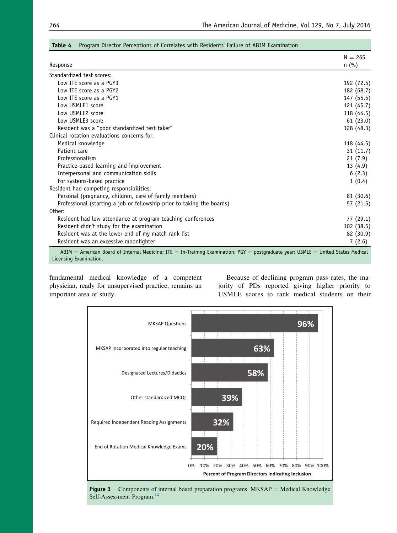| Response                                                                                                                                                    | $N = 265$<br>$n$ (%) |
|-------------------------------------------------------------------------------------------------------------------------------------------------------------|----------------------|
| Standardized test scores:                                                                                                                                   |                      |
| Low ITE score as a PGY3                                                                                                                                     | 192 (72.5)           |
| Low ITE score as a PGY2                                                                                                                                     | 182 (68.7)           |
| Low ITE score as a PGY1                                                                                                                                     | 147 (55.5)           |
| Low USMLE1 score                                                                                                                                            | 121 (45.7)           |
| Low USMLE2 score                                                                                                                                            | 118 (44.5)           |
| Low USMLE3 score                                                                                                                                            | 61 (23.0)            |
| Resident was a "poor standardized test taker"                                                                                                               | 128 (48.3)           |
| Clinical rotation evaluations concerns for:                                                                                                                 |                      |
| Medical knowledge                                                                                                                                           | 118 (44.5)           |
| Patient care                                                                                                                                                | 31(11.7)             |
| Professionalism                                                                                                                                             | 21(7.9)              |
| Practice-based learning and improvement                                                                                                                     | 13(4.9)              |
| Interpersonal and communication skills                                                                                                                      | 6(2.3)               |
| For systems-based practice                                                                                                                                  | 1(0.4)               |
| Resident had competing responsibilities:                                                                                                                    |                      |
| Personal (pregnancy, children, care of family members)                                                                                                      | 81 (30.6)            |
| Professional (starting a job or fellowship prior to taking the boards)                                                                                      | 57 (21.5)            |
| Other:                                                                                                                                                      |                      |
| Resident had low attendance at program teaching conferences                                                                                                 | 77 (29.1)            |
| Resident didn't study for the examination                                                                                                                   | 102 (38.5)           |
| Resident was at the lower end of my match rank list                                                                                                         | 82 (30.9)            |
| Resident was an excessive moonlighter                                                                                                                       | 7(2.6)               |
| ABIM = American Board of Internal Medicine; ITE = In-Training Examination; PGY = postgraduate year; USMLE = United States Medical<br>Licensing Examination. |                      |

#### <span id="page-5-0"></span>Table 4 Program Director Perceptions of Correlates with Residents' Failure of ABIM Examination

fundamental medical knowledge of a competent physician, ready for unsupervised practice, remains an important area of study.

Because of declining program pass rates, the majority of PDs reported giving higher priority to USMLE scores to rank medical students on their



Figure 3 Components of internal board preparation programs.  $MKSAP = Medical Knowledge$ Self-Assessment Program.<sup>[12](#page-6-0)</sup>